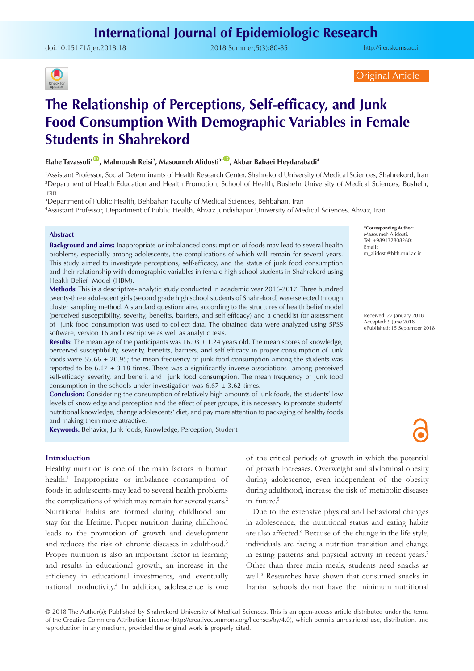doi:[10.15171/ijer.2018.18](https://doi.org/10.15171/ijer.2018.18) 2018 Summer;5(3):80-85

<http://ijer.skums.ac.ir>



Original Article

# **The Relationship of Perceptions, Self-efficacy, and Junk Food Consumption With Demographic Variables in Female Students in Shahrekord**

## **Elahe Tavassoli1** [ID](http://orcid.org/0000-0003-1443-1939) **, Mahnoush Reisi2 , Masoumeh Alidosti3\*** [ID](http://orcid.org/0000-0001-6682-1782) **, Akbar Babaei Heydarabadi4**

1 Assistant Professor, Social Determinants of Health Research Center, Shahrekord University of Medical Sciences, Shahrekord, Iran 2 Department of Health Education and Health Promotion, School of Health, Bushehr University of Medical Sciences, Bushehr, Iran

3 Department of Public Health, Behbahan Faculty of Medical Sciences, Behbahan, Iran

4 Assistant Professor, Department of Public Health, Ahvaz Jundishapur University of Medical Sciences, Ahvaz, Iran

#### **Abstract**

**Background and aims:** Inappropriate or imbalanced consumption of foods may lead to several health problems, especially among adolescents, the complications of which will remain for several years. This study aimed to investigate perceptions, self-efficacy, and the status of junk food consumption and their relationship with demographic variables in female high school students in Shahrekord using Health Belief Model (HBM).

**Methods:** This is a descriptive- analytic study conducted in academic year 2016-2017. Three hundred twenty-three adolescent girls (second grade high school students of Shahrekord) were selected through cluster sampling method. A standard questionnaire, according to the structures of health belief model (perceived susceptibility, severity, benefits, barriers, and self-efficacy) and a checklist for assessment of junk food consumption was used to collect data. The obtained data were analyzed using SPSS software, version 16 and descriptive as well as analytic tests.

**Results:** The mean age of the participants was 16.03  $\pm$  1.24 years old. The mean scores of knowledge, perceived susceptibility, severity, benefits, barriers, and self-efficacy in proper consumption of junk foods were 55.66  $\pm$  20.95; the mean frequency of junk food consumption among the students was reported to be 6.17  $\pm$  3.18 times. There was a significantly inverse associations among perceived self-efficacy, severity, and benefit and junk food consumption. The mean frequency of junk food consumption in the schools under investigation was  $6.67 \pm 3.62$  times.

**Conclusion:** Considering the consumption of relatively high amounts of junk foods, the students' low levels of knowledge and perception and the effect of peer groups, it is necessary to promote students' nutritional knowledge, change adolescents' diet, and pay more attention to packaging of healthy foods and making them more attractive.

**Keywords:** Behavior, Junk foods, Knowledge, Perception, Student

## **Introduction**

Healthy nutrition is one of the main factors in human health.<sup>1</sup> Inappropriate or imbalance consumption of foods in adolescents may lead to several health problems the complications of which may remain for several years.<sup>2</sup> Nutritional habits are formed during childhood and stay for the lifetime. Proper nutrition during childhood leads to the promotion of growth and development and reduces the risk of chronic diseases in adulthood.<sup>3</sup> Proper nutrition is also an important factor in learning and results in educational growth, an increase in the efficiency in educational investments, and eventually national productivity.4 In addition, adolescence is one of the critical periods of growth in which the potential of growth increases. Overweight and abdominal obesity during adolescence, even independent of the obesity during adulthood, increase the risk of metabolic diseases in future.<sup>5</sup>

Due to the extensive physical and behavioral changes in adolescence, the nutritional status and eating habits are also affected.<sup>6</sup> Because of the change in the life style, individuals are facing a nutrition transition and change in eating patterns and physical activity in recent years.<sup>7</sup> Other than three main meals, students need snacks as well.8 Researches have shown that consumed snacks in Iranian schools do not have the minimum nutritional

© 2018 The Author(s); Published by Shahrekord University of Medical Sciences. This is an open-access article distributed under the terms of the Creative Commons Attribution License (http://creativecommons.org/licenses/by/4.0), which permits unrestricted use, distribution, and reproduction in any medium, provided the original work is properly cited.

\***Corresponding Author:** Masoumeh Alidosti, Tel: +989132808260; Email: m\_alidosti@hlth.mui.ac.ir

Received: 27 January 2018 Accepted: 9 June 2018 ePublished: 15 September 2018

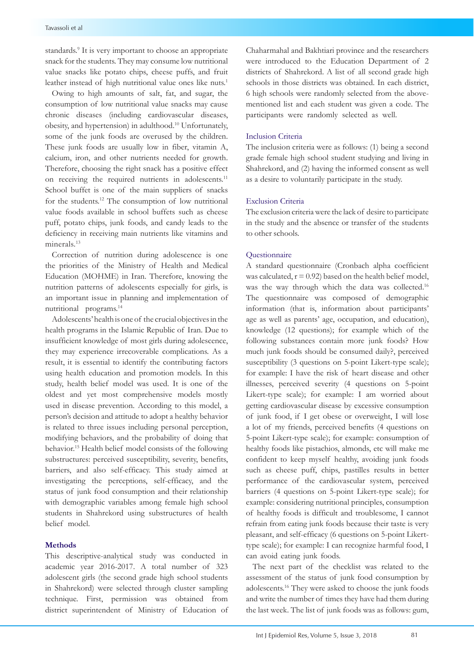standards.9 It is very important to choose an appropriate snack for the students. They may consume low nutritional value snacks like potato chips, cheese puffs, and fruit leather instead of high nutritional value ones like nuts.<sup>1</sup>

Owing to high amounts of salt, fat, and sugar, the consumption of low nutritional value snacks may cause chronic diseases (including cardiovascular diseases, obesity, and hypertension) in adulthood.10 Unfortunately, some of the junk foods are overused by the children. These junk foods are usually low in fiber, vitamin A, calcium, iron, and other nutrients needed for growth. Therefore, choosing the right snack has a positive effect on receiving the required nutrients in adolescents.<sup>11</sup> School buffet is one of the main suppliers of snacks for the students.12 The consumption of low nutritional value foods available in school buffets such as cheese puff, potato chips, junk foods, and candy leads to the deficiency in receiving main nutrients like vitamins and minerals.<sup>13</sup>

Correction of nutrition during adolescence is one the priorities of the Ministry of Health and Medical Education (MOHME) in Iran. Therefore, knowing the nutrition patterns of adolescents especially for girls, is an important issue in planning and implementation of nutritional programs.14

Adolescents' health is one of the crucial objectives in the health programs in the Islamic Republic of Iran. Due to insufficient knowledge of most girls during adolescence, they may experience irrecoverable complications. As a result, it is essential to identify the contributing factors using health education and promotion models. In this study, health belief model was used. It is one of the oldest and yet most comprehensive models mostly used in disease prevention. According to this model, a person's decision and attitude to adopt a healthy behavior is related to three issues including personal perception, modifying behaviors, and the probability of doing that behavior.15 Health belief model consists of the following substructures: perceived susceptibility, severity, benefits, barriers, and also self-efficacy. This study aimed at investigating the perceptions, self-efficacy, and the status of junk food consumption and their relationship with demographic variables among female high school students in Shahrekord using substructures of health belief model.

## **Methods**

This descriptive-analytical study was conducted in academic year 2016-2017. A total number of 323 adolescent girls (the second grade high school students in Shahrekord) were selected through cluster sampling technique. First, permission was obtained from district superintendent of Ministry of Education of Chaharmahal and Bakhtiari province and the researchers were introduced to the Education Department of 2 districts of Shahrekord. A list of all second grade high schools in those districts was obtained. In each district, 6 high schools were randomly selected from the abovementioned list and each student was given a code. The participants were randomly selected as well.

## Inclusion Criteria

The inclusion criteria were as follows: (1) being a second grade female high school student studying and living in Shahrekord, and (2) having the informed consent as well as a desire to voluntarily participate in the study.

## Exclusion Criteria

The exclusion criteria were the lack of desire to participate in the study and the absence or transfer of the students to other schools.

#### Questionnaire

A standard questionnaire (Cronbach alpha coefficient was calculated,  $r = 0.92$ ) based on the health belief model, was the way through which the data was collected.16 The questionnaire was composed of demographic information (that is, information about participants' age as well as parents' age, occupation, and education), knowledge (12 questions); for example which of the following substances contain more junk foods? How much junk foods should be consumed daily?, perceived susceptibility (3 questions on 5-point Likert-type scale); for example: I have the risk of heart disease and other illnesses, perceived severity (4 questions on 5-point Likert-type scale); for example: I am worried about getting cardiovascular disease by excessive consumption of junk food, if I get obese or overweight, I will lose a lot of my friends, perceived benefits (4 questions on 5-point Likert-type scale); for example: consumption of healthy foods like pistachios, almonds, etc will make me confident to keep myself healthy, avoiding junk foods such as cheese puff, chips, pastilles results in better performance of the cardiovascular system, perceived barriers (4 questions on 5-point Likert-type scale); for example: considering nutritional principles, consumption of healthy foods is difficult and troublesome, I cannot refrain from eating junk foods because their taste is very pleasant, and self-efficacy (6 questions on 5-point Likerttype scale); for example: I can recognize harmful food, I can avoid eating junk foods.

The next part of the checklist was related to the assessment of the status of junk food consumption by adolescents.16 They were asked to choose the junk foods and write the number of times they have had them during the last week. The list of junk foods was as follows: gum,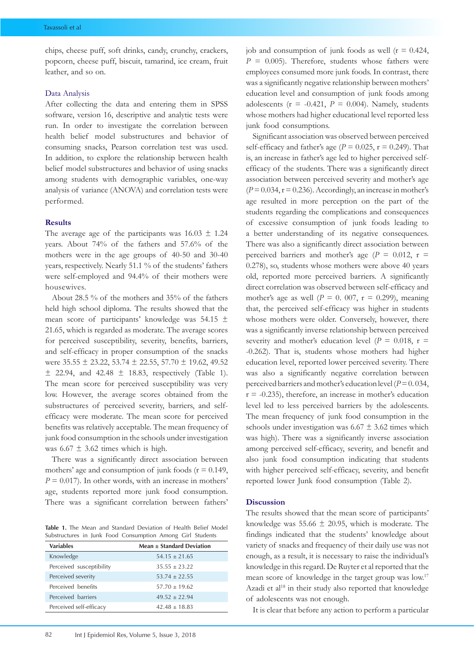chips, cheese puff, soft drinks, candy, crunchy, crackers, popcorn, cheese puff, biscuit, tamarind, ice cream, fruit leather, and so on.

#### Data Analysis

After collecting the data and entering them in SPSS software, version 16, descriptive and analytic tests were run. In order to investigate the correlation between health belief model substructures and behavior of consuming snacks, Pearson correlation test was used. In addition, to explore the relationship between health belief model substructures and behavior of using snacks among students with demographic variables, one-way analysis of variance (ANOVA) and correlation tests were performed.

### **Results**

The average age of the participants was  $16.03 \pm 1.24$ years. About 74% of the fathers and 57.6% of the mothers were in the age groups of 40-50 and 30-40 years, respectively. Nearly 51.1 % of the students' fathers were self-employed and 94.4% of their mothers were housewives.

About 28.5 % of the mothers and 35% of the fathers held high school diploma. The results showed that the mean score of participants' knowledge was  $54.15 \pm$ 21.65, which is regarded as moderate. The average scores for perceived susceptibility, severity, benefits, barriers, and self-efficacy in proper consumption of the snacks were  $35.55 \pm 23.22$ ,  $53.74 \pm 22.55$ ,  $57.70 \pm 19.62$ ,  $49.52$  $\pm$  22.94, and 42.48  $\pm$  18.83, respectively (Table 1). The mean score for perceived susceptibility was very low. However, the average scores obtained from the substructures of perceived severity, barriers, and selfefficacy were moderate. The mean score for perceived benefits was relatively acceptable. The mean frequency of junk food consumption in the schools under investigation was  $6.67 \pm 3.62$  times which is high.

There was a significantly direct association between mothers' age and consumption of junk foods ( $r = 0.149$ ,  $P = 0.017$ . In other words, with an increase in mothers' age, students reported more junk food consumption. There was a significant correlation between fathers'

**Table 1.** The Mean and Standard Deviation of Health Belief Model Substructures in Junk Food Consumption Among Girl Students

| <b>Variables</b>         | Mean $\pm$ Standard Deviation |  |  |  |
|--------------------------|-------------------------------|--|--|--|
| Knowledge                | $54.15 \pm 21.65$             |  |  |  |
| Perceived susceptibility | $35.55 + 23.22$               |  |  |  |
| Perceived severity       | $53.74 + 22.55$               |  |  |  |
| Perceived benefits       | $57.70 \pm 19.62$             |  |  |  |
| Perceived barriers       | $49.52 + 22.94$               |  |  |  |
| Perceived self-efficacy  | $42.48 \pm 18.83$             |  |  |  |

job and consumption of junk foods as well  $(r = 0.424,$  $P = 0.005$ ). Therefore, students whose fathers were employees consumed more junk foods. In contrast, there was a significantly negative relationship between mothers' education level and consumption of junk foods among adolescents ( $r = -0.421$ ,  $P = 0.004$ ). Namely, students whose mothers had higher educational level reported less junk food consumptions.

Significant association was observed between perceived self-efficacy and father's age ( $P = 0.025$ ,  $r = 0.249$ ). That is, an increase in father's age led to higher perceived selfefficacy of the students. There was a significantly direct association between perceived severity and mother's age  $(P=0.034, r=0.236)$ . Accordingly, an increase in mother's age resulted in more perception on the part of the students regarding the complications and consequences of excessive consumption of junk foods leading to a better understanding of its negative consequences. There was also a significantly direct association between perceived barriers and mother's age ( $P = 0.012$ ,  $r =$ 0.278), so, students whose mothers were above 40 years old, reported more perceived barriers. A significantly direct correlation was observed between self-efficacy and mother's age as well ( $P = 0$ . 007,  $r = 0.299$ ), meaning that, the perceived self-efficacy was higher in students whose mothers were older. Conversely, however, there was a significantly inverse relationship between perceived severity and mother's education level ( $P = 0.018$ ,  $r =$ -0.262). That is, students whose mothers had higher education level, reported lower perceived severity. There was also a significantly negative correlation between perceived barriers and mother's education level (*P* = 0. 034,  $r = -0.235$ ), therefore, an increase in mother's education level led to less perceived barriers by the adolescents. The mean frequency of junk food consumption in the schools under investigation was  $6.67 \pm 3.62$  times which was high). There was a significantly inverse association among perceived self-efficacy, severity, and benefit and also junk food consumption indicating that students with higher perceived self-efficacy, severity, and benefit reported lower Junk food consumption (Table 2).

## **Discussion**

The results showed that the mean score of participants' knowledge was 55.66  $\pm$  20.95, which is moderate. The findings indicated that the students' knowledge about variety of snacks and frequency of their daily use was not enough, as a result, it is necessary to raise the individual's knowledge in this regard. De Ruyter et al reported that the mean score of knowledge in the target group was low.17 Azadi et al<sup>18</sup> in their study also reported that knowledge of adolescents was not enough.

It is clear that before any action to perform a particular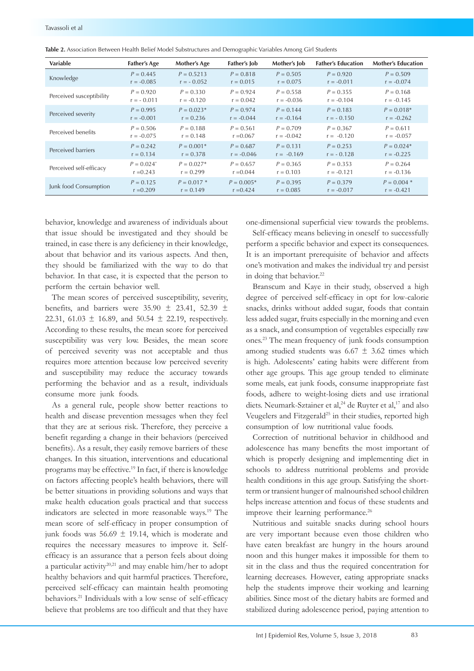| <b>Variable</b>          | <b>Father's Age</b>      | Mother's Age  | Father's Job | Mother's Job | <b>Father's Education</b> | <b>Mother's Education</b> |
|--------------------------|--------------------------|---------------|--------------|--------------|---------------------------|---------------------------|
| Knowledge                | $P = 0.445$              | $P = 0.5213$  | $P = 0.818$  | $P = 0.505$  | $P = 0.920$               | $P = 0.509$               |
|                          | $r = -0.085$             | $r = -0.052$  | $r = 0.015$  | $r = 0.075$  | $r = -0.011$              | $r = -0.074$              |
| Perceived susceptibility | $P = 0.920$              | $P = 0.330$   | $P = 0.924$  | $P = 0.558$  | $P = 0.355$               | $P = 0.168$               |
|                          | $r = -0.011$             | $r = -0.120$  | $r = 0.042$  | $r = -0.036$ | $r = -0.104$              | $r = -0.145$              |
| Perceived severity       | $P = 0.995$              | $P = 0.023*$  | $P = 0.974$  | $P = 0.144$  | $P = 0.183$               | $P = 0.018*$              |
|                          | $r = -0.001$             | $r = 0.236$   | $r = -0.044$ | $r = -0.164$ | $r = -0.150$              | $r = -0.262$              |
| Perceived benefits       | $P = 0.506$              | $P = 0.188$   | $P = 0.561$  | $P = 0.709$  | $P = 0.367$               | $P = 0.611$               |
|                          | $r = -0.075$             | $r = 0.148$   | $r = 0.067$  | $r = -0.042$ | $r = -0.120$              | $r = -0.057$              |
| Perceived barriers       | $P = 0.242$              | $P = 0.001*$  | $P = 0.687$  | $P = 0.131$  | $P = 0.253$               | $P = 0.024*$              |
|                          | $r = 0.134$              | $r = 0.378$   | $r = -0.046$ | $r = -0.169$ | $r = -0.128$              | $r = -0.225$              |
| Perceived self-efficacy  | $P = 0.024$ <sup>*</sup> | $P = 0.027*$  | $P = 0.657$  | $P = 0.365$  | $P = 0.353$               | $P = 0.264$               |
|                          | $r = 0.243$              | $r = 0.299$   | $r = 0.044$  | $r = 0.103$  | $r = -0.121$              | $r = -0.136$              |
| Junk food Consumption    | $P = 0.125$              | $P = 0.017$ * | $P = 0.005*$ | $P = 0.395$  | $P = 0.379$               | $P = 0.004$ *             |
|                          | $r = 0.209$              | $r = 0.149$   | $r = 0.424$  | $r = 0.085$  | $r = -0.017$              | $r = -0.421$              |

**Table 2.** Association Between Health Belief Model Substructures and Demographic Variables Among Girl Students

behavior, knowledge and awareness of individuals about that issue should be investigated and they should be trained, in case there is any deficiency in their knowledge, about that behavior and its various aspects. And then, they should be familiarized with the way to do that behavior. In that case, it is expected that the person to perform the certain behavior well.

The mean scores of perceived susceptibility, severity, benefits, and barriers were  $35.90 \pm 23.41$ ,  $52.39 \pm 1$ 22.31, 61.03  $\pm$  16.89, and 50.54  $\pm$  22.19, respectively. According to these results, the mean score for perceived susceptibility was very low. Besides, the mean score of perceived severity was not acceptable and thus requires more attention because low perceived severity and susceptibility may reduce the accuracy towards performing the behavior and as a result, individuals consume more junk foods.

As a general rule, people show better reactions to health and disease prevention messages when they feel that they are at serious risk. Therefore, they perceive a benefit regarding a change in their behaviors (perceived benefits). As a result, they easily remove barriers of these changes. In this situation, interventions and educational programs may be effective.19 In fact, if there is knowledge on factors affecting people's health behaviors, there will be better situations in providing solutions and ways that make health education goals practical and that success indicators are selected in more reasonable ways.19 The mean score of self-efficacy in proper consumption of junk foods was  $56.69 \pm 19.14$ , which is moderate and requires the necessary measures to improve it. Selfefficacy is an assurance that a person feels about doing a particular activity20,21 and may enable him/her to adopt healthy behaviors and quit harmful practices. Therefore, perceived self-efficacy can maintain health promoting behaviors.<sup>21</sup> Individuals with a low sense of self-efficacy believe that problems are too difficult and that they have one-dimensional superficial view towards the problems.

Self-efficacy means believing in oneself to successfully perform a specific behavior and expect its consequences. It is an important prerequisite of behavior and affects one's motivation and makes the individual try and persist in doing that behavior.<sup>22</sup>

Branscum and Kaye in their study, observed a high degree of perceived self-efficacy in opt for low-calorie snacks, drinks without added sugar, foods that contain less added sugar, fruits especially in the morning and even as a snack, and consumption of vegetables especially raw ones.23 The mean frequency of junk foods consumption among studied students was  $6.67 \pm 3.62$  times which is high. Adolescents' eating habits were different from other age groups. This age group tended to eliminate some meals, eat junk foods, consume inappropriate fast foods, adhere to weight-losing diets and use irrational diets. Neumark-Sztainer et al,<sup>24</sup> de Ruyter et al,<sup>17</sup> and also Veugelers and Fitzgerald<sup>25</sup> in their studies, reported high consumption of low nutritional value foods.

Correction of nutritional behavior in childhood and adolescence has many benefits the most important of which is properly designing and implementing diet in schools to address nutritional problems and provide health conditions in this age group. Satisfying the shortterm or transient hunger of malnourished school children helps increase attention and focus of these students and improve their learning performance.<sup>26</sup>

Nutritious and suitable snacks during school hours are very important because even those children who have eaten breakfast are hungry in the hours around noon and this hunger makes it impossible for them to sit in the class and thus the required concentration for learning decreases. However, eating appropriate snacks help the students improve their working and learning abilities. Since most of the dietary habits are formed and stabilized during adolescence period, paying attention to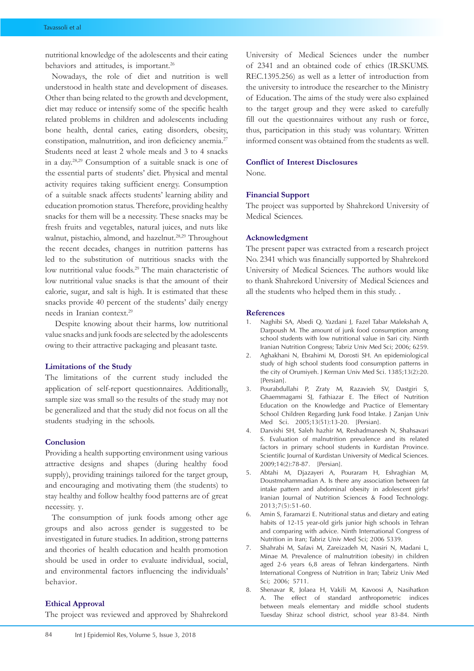nutritional knowledge of the adolescents and their eating behaviors and attitudes, is important.<sup>26</sup>

Nowadays, the role of diet and nutrition is well understood in health state and development of diseases. Other than being related to the growth and development, diet may reduce or intensify some of the specific health related problems in children and adolescents including bone health, dental caries, eating disorders, obesity, constipation, malnutrition, and iron deficiency anemia.<sup>27</sup> Students need at least 2 whole meals and 3 to 4 snacks in a day.28,29 Consumption of a suitable snack is one of the essential parts of students' diet. Physical and mental activity requires taking sufficient energy. Consumption of a suitable snack affects students' learning ability and education promotion status. Therefore, providing healthy snacks for them will be a necessity. These snacks may be fresh fruits and vegetables, natural juices, and nuts like walnut, pistachio, almond, and hazelnut.<sup>28,29</sup> Throughout the recent decades, changes in nutrition patterns has led to the substitution of nutritious snacks with the low nutritional value foods.<sup>29</sup> The main characteristic of low nutritional value snacks is that the amount of their calorie, sugar, and salt is high. It is estimated that these snacks provide 40 percent of the students' daily energy needs in Iranian context.29

 Despite knowing about their harms, low nutritional value snacks and junk foods are selected by the adolescents owing to their attractive packaging and pleasant taste.

#### **Limitations of the Study**

The limitations of the current study included the application of self-report questionnaires. Additionally, sample size was small so the results of the study may not be generalized and that the study did not focus on all the students studying in the schools.

#### **Conclusion**

Providing a health supporting environment using various attractive designs and shapes (during healthy food supply), providing trainings tailored for the target group, and encouraging and motivating them (the students) to stay healthy and follow healthy food patterns are of great necessity. y.

The consumption of junk foods among other age groups and also across gender is suggested to be investigated in future studies. In addition, strong patterns and theories of health education and health promotion should be used in order to evaluate individual, social, and environmental factors influencing the individuals' behavior.

#### **Ethical Approval**

The project was reviewed and approved by Shahrekord

University of Medical Sciences under the number of 2341 and an obtained code of ethics (IR.SKUMS. REC.1395.256) as well as a letter of introduction from the university to introduce the researcher to the Ministry of Education. The aims of the study were also explained to the target group and they were asked to carefully fill out the questionnaires without any rush or force, thus, participation in this study was voluntary. Written informed consent was obtained from the students as well.

# **Conflict of Interest Disclosures**

None.

#### **Financial Support**

The project was supported by Shahrekord University of Medical Sciences.

#### **Acknowledgment**

The present paper was extracted from a research project No. 2341 which was financially supported by Shahrekord University of Medical Sciences. The authors would like to thank Shahrekord University of Medical Sciences and all the students who helped them in this study. .

#### **References**

- 1. Naghibi SA, Abedi Q, Yazdani J, Fazel Tabar Malekshah A, Darpoush M. The amount of junk food consumption among school students with low nutritional value in Sari city. Ninth Iranian Nutrition Congress; Tabriz Univ Med Sci; 2006; 6259.
- 2. Aghakhani N, Ebrahimi M, Dorosti SH. An epidemiological study of high school students food consumption patterns in the city of Orumiyeh. J Kerman Univ Med Sci. 1385;13(2):20. [Persian].
- 3. Pourabdullahi P, Zraty M, Razavieh SV, Dastgiri S, Ghaemmagami SJ, Fathiazar E. The Effect of Nutrition Education on the Knowledge and Practice of Elementary School Children Regarding Junk Food Intake. J Zanjan Univ Med Sci. 2005;13(51):13-20. [Persian].
- 4. Darvishi SH, Saleh hazhir M, Reshadmanesh N, Shahsavari S. Evaluation of malnutrition prevalence and its related factors in primary school students in Kurdistan Province. Scientific Journal of Kurdistan University of Medical Sciences. 2009;14(2):78-87. [Persian].
- 5. Abtahi M, Djazayeri A, Pouraram H, Eshraghian M, Doustmohammadian A. Is there any association between fat intake pattern and abdominal obesity in adolescent girls? Iranian Journal of Nutrition Sciences & Food Technology. 2013;7(5):51-60.
- 6. Amin S, Faramarzi E. Nutritional status and dietary and eating habits of 12-15 year-old girls junior high schools in Tehran and comparing with advice. Ninth International Congress of Nutrition in Iran; Tabriz Univ Med Sci; 2006 5339.
- 7. Shahrabi M, Safavi M, Zareizadeh M, Nasiri N, Madani L, Minae M. Prevalence of malnutrition (obesity) in children aged 2-6 years 6,8 areas of Tehran kindergartens. Ninth International Congress of Nutrition in Iran; Tabriz Univ Med Sci; 2006; 5711.
- 8. Shenavar R, Jolaea H, Vakili M, Kavoosi A, Nasihatkon A. The effect of standard anthropometric indices between meals elementary and middle school students Tuesday Shiraz school district, school year 83-84. Ninth